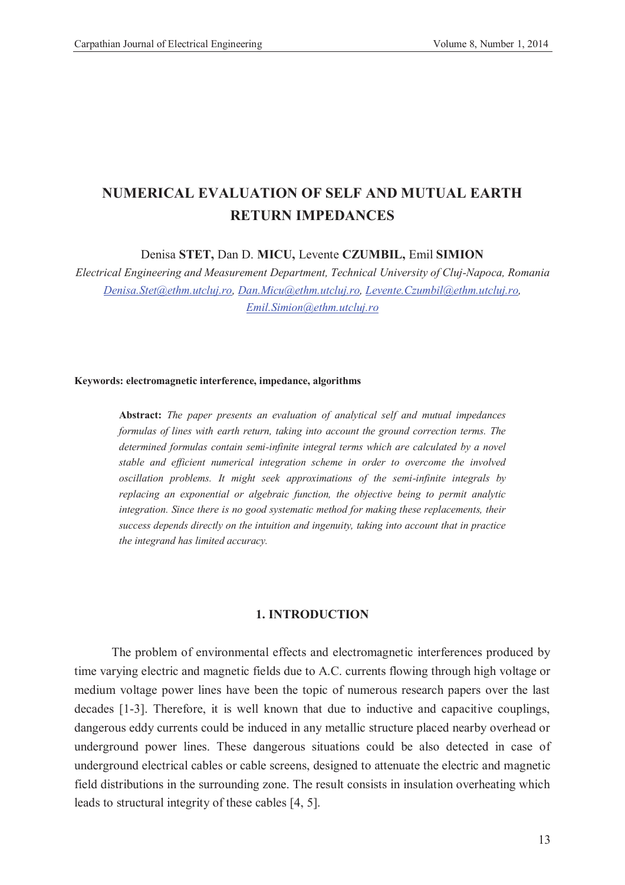# **NUMERICAL EVALUATION OF SELF AND MUTUAL EARTH RETURN IMPEDANCES**

Denisa **STET,** Dan D. **MICU,** Levente **CZUMBIL,** Emil **SIMION**

*Electrical Engineering and Measurement Department, Technical University of Cluj-Napoca, Romania Denisa.Stet@ethm.utcluj.ro, Dan.Micu@ethm.utcluj.ro, Levente.Czumbil@ethm.utcluj.ro, Emil.Simion@ethm.utcluj.ro*

#### **Keywords: electromagnetic interference, impedance, algorithms**

**Abstract:** *The paper presents an evaluation of analytical self and mutual impedances formulas of lines with earth return, taking into account the ground correction terms. The determined formulas contain semi-infinite integral terms which are calculated by a novel stable and efficient numerical integration scheme in order to overcome the involved oscillation problems. It might seek approximations of the semi-infinite integrals by replacing an exponential or algebraic function, the objective being to permit analytic integration. Since there is no good systematic method for making these replacements, their success depends directly on the intuition and ingenuity, taking into account that in practice the integrand has limited accuracy.* 

### **1. INTRODUCTION**

 The problem of environmental effects and electromagnetic interferences produced by time varying electric and magnetic fields due to A.C. currents flowing through high voltage or medium voltage power lines have been the topic of numerous research papers over the last decades [1-3]. Therefore, it is well known that due to inductive and capacitive couplings, dangerous eddy currents could be induced in any metallic structure placed nearby overhead or underground power lines. These dangerous situations could be also detected in case of underground electrical cables or cable screens, designed to attenuate the electric and magnetic field distributions in the surrounding zone. The result consists in insulation overheating which leads to structural integrity of these cables [4, 5].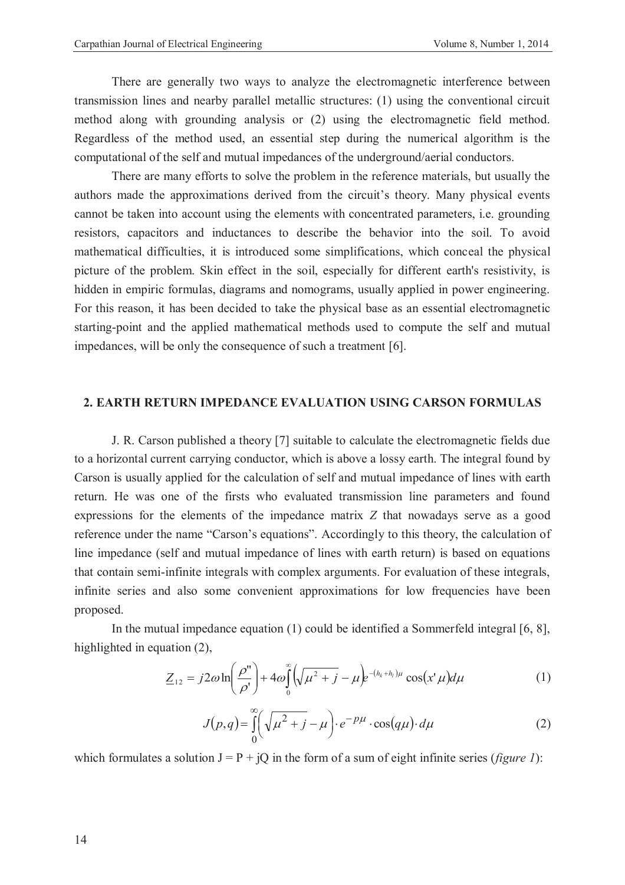There are generally two ways to analyze the electromagnetic interference between transmission lines and nearby parallel metallic structures: (1) using the conventional circuit method along with grounding analysis or (2) using the electromagnetic field method. Regardless of the method used, an essential step during the numerical algorithm is the computational of the self and mutual impedances of the underground/aerial conductors.

There are many efforts to solve the problem in the reference materials, but usually the authors made the approximations derived from the circuit's theory. Many physical events cannot be taken into account using the elements with concentrated parameters, i.e. grounding resistors, capacitors and inductances to describe the behavior into the soil. To avoid mathematical difficulties, it is introduced some simplifications, which conceal the physical picture of the problem. Skin effect in the soil, especially for different earth's resistivity, is hidden in empiric formulas, diagrams and nomograms, usually applied in power engineering. For this reason, it has been decided to take the physical base as an essential electromagnetic starting-point and the applied mathematical methods used to compute the self and mutual impedances, will be only the consequence of such a treatment [6].

### **2. EARTH RETURN IMPEDANCE EVALUATION USING CARSON FORMULAS**

J. R. Carson published a theory [7] suitable to calculate the electromagnetic fields due to a horizontal current carrying conductor, which is above a lossy earth. The integral found by Carson is usually applied for the calculation of self and mutual impedance of lines with earth return. He was one of the firsts who evaluated transmission line parameters and found expressions for the elements of the impedance matrix *Z* that nowadays serve as a good reference under the name "Carson's equations". Accordingly to this theory, the calculation of line impedance (self and mutual impedance of lines with earth return) is based on equations that contain semi-infinite integrals with complex arguments. For evaluation of these integrals, infinite series and also some convenient approximations for low frequencies have been proposed.

In the mutual impedance equation (1) could be identified a Sommerfeld integral [6, 8], highlighted in equation (2),

$$
\underline{Z}_{12} = j2\omega \ln \left(\frac{\rho''}{\rho'}\right) + 4\omega \int_{0}^{\infty} \left(\sqrt{\mu^2 + j} - \mu\right) e^{-(h_k + h_l)\mu} \cos\left(x'\mu\right) d\mu \tag{1}
$$

$$
J(p,q) = \int_{0}^{\infty} \left(\sqrt{\mu^2 + j} - \mu\right) \cdot e^{-p\mu} \cdot \cos(q\mu) \cdot d\mu \tag{2}
$$

which formulates a solution  $J = P + iQ$  in the form of a sum of eight infinite series (*figure 1*):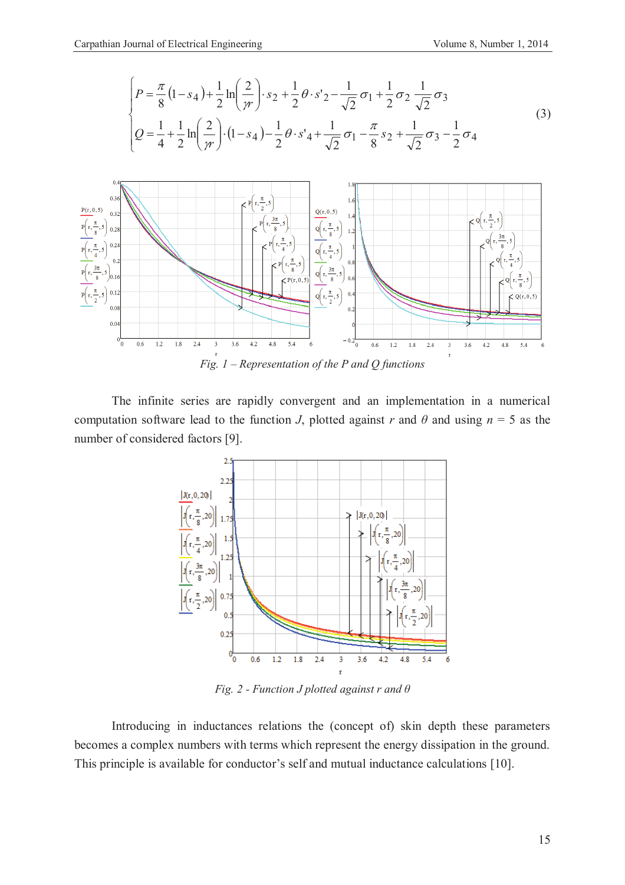

*Fig. 1 – Representation of the P and Q functions* 

The infinite series are rapidly convergent and an implementation in a numerical computation software lead to the function *J*, plotted against *r* and  $\theta$  and using  $n = 5$  as the number of considered factors [9].



*Fig. 2 - Function J plotted against r and θ*

Introducing in inductances relations the (concept of) skin depth these parameters becomes a complex numbers with terms which represent the energy dissipation in the ground. This principle is available for conductor's self and mutual inductance calculations [10].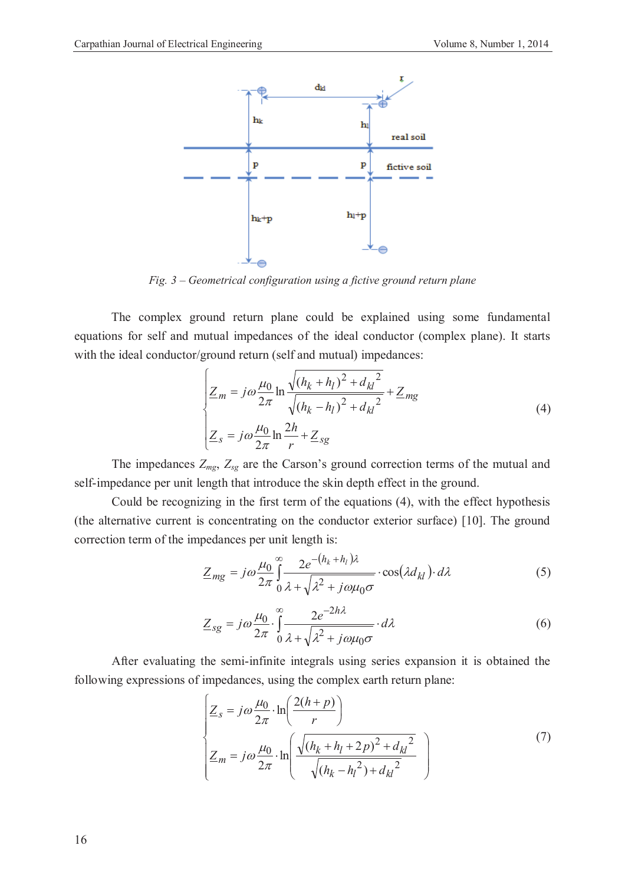

*Fig. 3 – Geometrical configuration using a fictive ground return plane* 

The complex ground return plane could be explained using some fundamental equations for self and mutual impedances of the ideal conductor (complex plane). It starts with the ideal conductor/ground return (self and mutual) impedances:

$$
\begin{cases}\nZ_m = j\omega \frac{\mu_0}{2\pi} \ln \frac{\sqrt{(h_k + h_l)^2 + d_{kl}^2}}{\sqrt{(h_k - h_l)^2 + d_{kl}^2}} + Z_{mg} \\
Z_s = j\omega \frac{\mu_0}{2\pi} \ln \frac{2h}{r} + Z_{sg}\n\end{cases} \tag{4}
$$

The impedances *Zmg*, *Zsg* are the Carson's ground correction terms of the mutual and self-impedance per unit length that introduce the skin depth effect in the ground.

Could be recognizing in the first term of the equations (4), with the effect hypothesis (the alternative current is concentrating on the conductor exterior surface) [10]. The ground correction term of the impedances per unit length is:

$$
\underline{Z}_{mg} = j\omega \frac{\mu_0}{2\pi} \int_{0}^{\infty} \frac{2e^{-(h_k + h_l)\lambda}}{\lambda^2 + j\omega\mu_0 \sigma} \cdot \cos(\lambda d_{kl}) \cdot d\lambda \tag{5}
$$

$$
\underline{Z}_{sg} = j\omega \frac{\mu_0}{2\pi} \cdot \int_{0}^{\infty} \frac{2e^{-2h\lambda}}{\lambda + \sqrt{\lambda^2 + j\omega\mu_0\sigma}} \cdot d\lambda \tag{6}
$$

After evaluating the semi-infinite integrals using series expansion it is obtained the following expressions of impedances, using the complex earth return plane:

$$
\begin{cases}\nZ_s = j\omega \frac{\mu_0}{2\pi} \cdot \ln\left(\frac{2(h+p)}{r}\right) \\
Z_m = j\omega \frac{\mu_0}{2\pi} \cdot \ln\left(\frac{\sqrt{(h_k + h_l + 2p)^2 + d_{kl}^2}}{\sqrt{(h_k - h_l^2) + d_{kl}^2}}\right)\n\end{cases} (7)
$$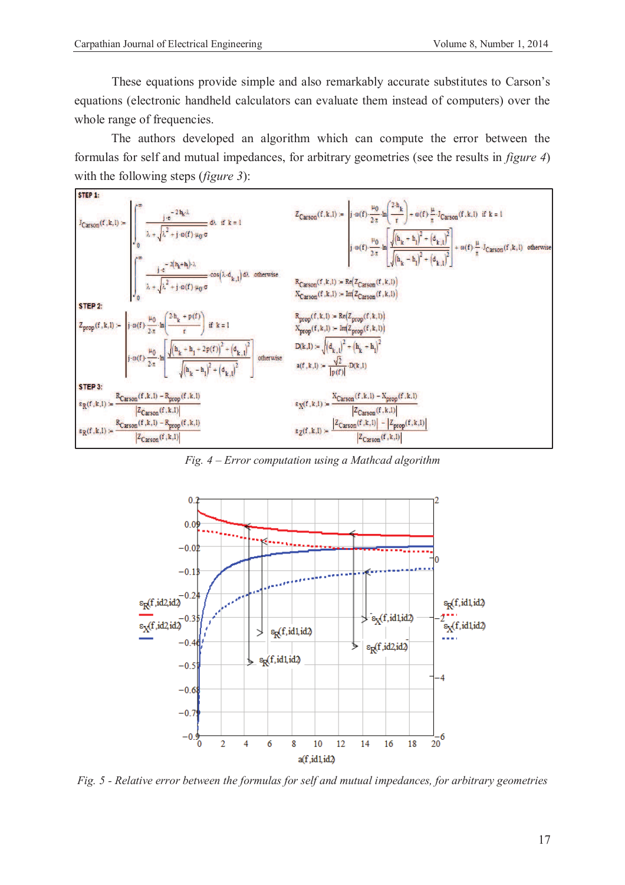These equations provide simple and also remarkably accurate substitutes to Carson's equations (electronic handheld calculators can evaluate them instead of computers) over the whole range of frequencies.

The authors developed an algorithm which can compute the error between the formulas for self and mutual impedances, for arbitrary geometries (see the results in *figure 4*) with the following steps (*figure 3*):



*Fig. 4 – Error computation using a Mathcad algorithm* 



*Fig. 5 - Relative error between the formulas for self and mutual impedances, for arbitrary geometries*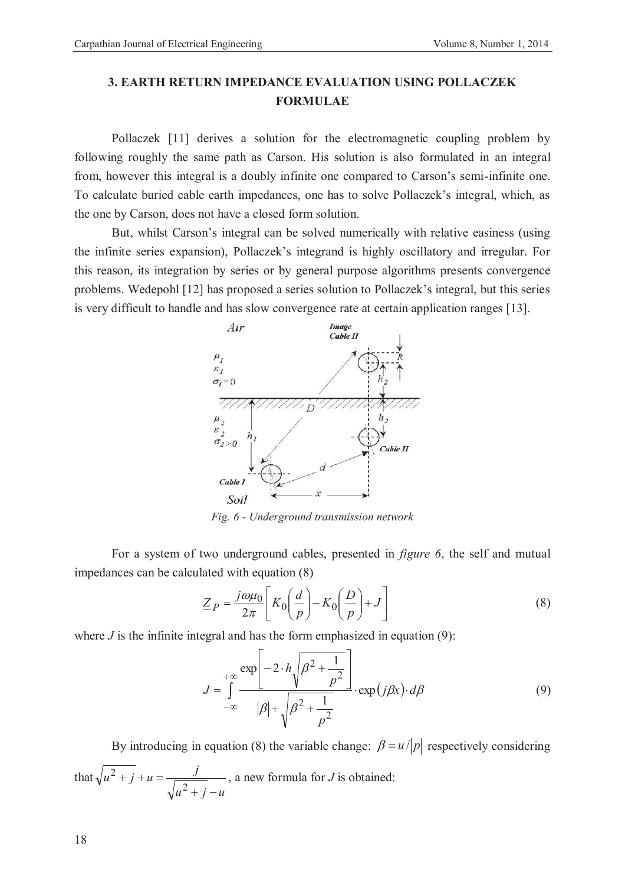## **3. EARTH RETURN IMPEDANCE EVALUATION USING POLLACZEK FORMULAE**

Pollaczek [11] derives a solution for the electromagnetic coupling problem by following roughly the same path as Carson. His solution is also formulated in an integral from, however this integral is a doubly infinite one compared to Carson's semi-infinite one. To calculate buried cable earth impedances, one has to solve Pollaczek's integral, which, as the one by Carson, does not have a closed form solution.

But, whilst Carson's integral can be solved numerically with relative easiness (using the infinite series expansion), Pollaczek's integrand is highly oscillatory and irregular. For this reason, its integration by series or by general purpose algorithms presents convergence problems. Wedepohl [12] has proposed a series solution to Pollaczek's integral, but this series is very difficult to handle and has slow convergence rate at certain application ranges [13].

![](_page_5_Figure_5.jpeg)

*Fig. 6 - Underground transmission network* 

For a system of two underground cables, presented in *figure 6*, the self and mutual impedances can be calculated with equation (8)

$$
\underline{Z}_P = \frac{j\omega\mu_0}{2\pi} \left[ K_0 \left( \frac{d}{p} \right) - K_0 \left( \frac{D}{p} \right) + J \right]
$$
 (8)

where  $J$  is the infinite integral and has the form emphasized in equation  $(9)$ :

$$
J = \int_{-\infty}^{+\infty} \frac{\exp\left[-2 \cdot h \sqrt{\beta^2 + \frac{1}{p^2}}\right]}{|\beta| + \sqrt{\beta^2 + \frac{1}{p^2}}} \cdot \exp(j\beta x) \cdot d\beta \tag{9}
$$

By introducing in equation (8) the variable change:  $\beta = u / |p|$  respectively considering that  $u^2 + j - u$  $\frac{1}{u^2 + j} + u = \frac{j}{\sqrt{2}}$  $+ j + j + u =$ 2  $2^2 + j + u = \frac{J}{\sqrt{2\pi}}$ , a new formula for *J* is obtained: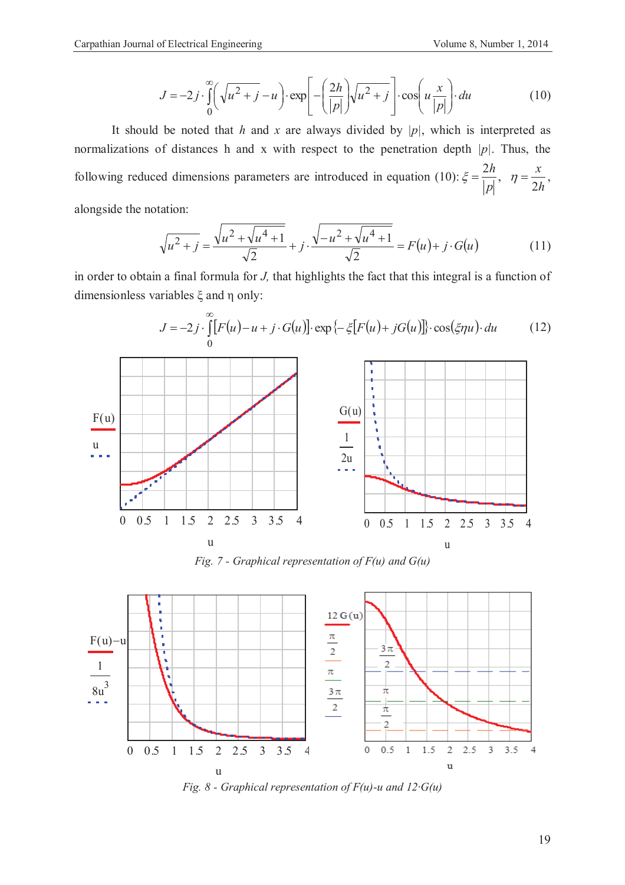$\infty$ 

$$
J = -2j \cdot \int_{0}^{\infty} \left(\sqrt{u^2 + j} - u\right) \cdot \exp\left[-\left(\frac{2h}{|p|}\right) \sqrt{u^2 + j}\right] \cdot \cos\left(u\frac{x}{|p|}\right) \cdot du \tag{10}
$$

It should be noted that *h* and *x* are always divided by *|p|*, which is interpreted as normalizations of distances h and x with respect to the penetration depth *|p|*. Thus, the following reduced dimensions parameters are introduced in equation (10): *h x p h* 2  $\xi = \frac{2h}{1+\lambda}, \quad \eta = \frac{x}{2\lambda},$ alongside the notation:

$$
\sqrt{u^2 + j} = \frac{\sqrt{u^2 + \sqrt{u^4 + 1}}}{\sqrt{2}} + j \cdot \frac{\sqrt{-u^2 + \sqrt{u^4 + 1}}}{\sqrt{2}} = F(u) + j \cdot G(u)
$$
(11)

in order to obtain a final formula for *J,* that highlights the fact that this integral is a function of dimensionless variables ξ and η only:

![](_page_6_Figure_6.jpeg)

*Fig. 7 - Graphical representation of F(u) and G(u)* 

![](_page_6_Figure_8.jpeg)

*Fig. 8 - Graphical representation of F(u)-u and 12·G(u)*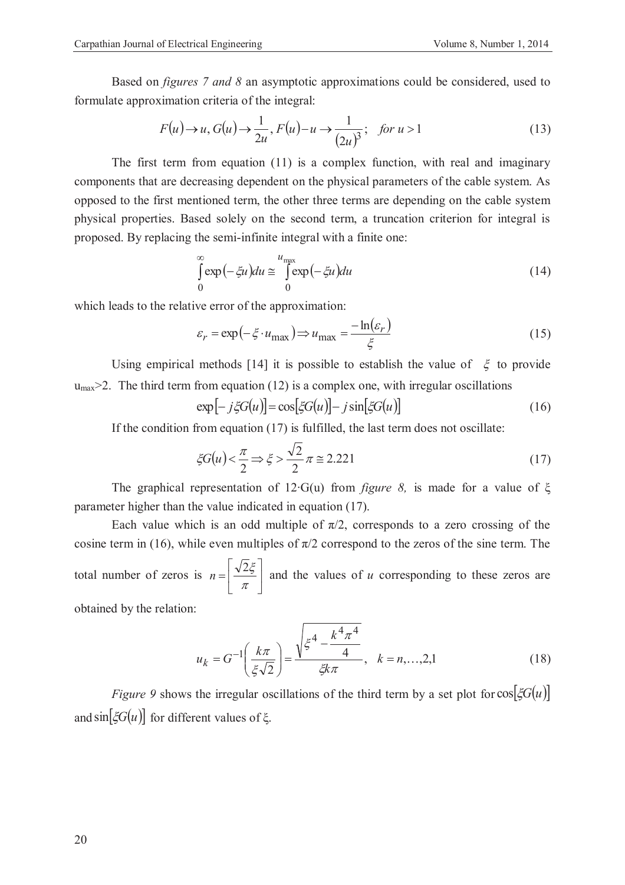Based on *figures 7 and 8* an asymptotic approximations could be considered, used to formulate approximation criteria of the integral:

$$
F(u) \to u, G(u) \to \frac{1}{2u}, F(u) - u \to \frac{1}{(2u)^3}; \text{ for } u > 1
$$
 (13)

The first term from equation (11) is a complex function, with real and imaginary components that are decreasing dependent on the physical parameters of the cable system. As opposed to the first mentioned term, the other three terms are depending on the cable system physical properties. Based solely on the second term, a truncation criterion for integral is proposed. By replacing the semi-infinite integral with a finite one:

$$
\int_{0}^{\infty} \exp\left(-\zeta u\right) du \cong \int_{0}^{u_{\text{max}}} \exp\left(-\zeta u\right) du \tag{14}
$$

which leads to the relative error of the approximation:

$$
\varepsilon_r = \exp\left(-\xi \cdot u_{\text{max}}\right) \Longrightarrow u_{\text{max}} = \frac{-\ln(\varepsilon_r)}{\xi} \tag{15}
$$

Using empirical methods [14] it is possible to establish the value of  $\xi$  to provide  $u_{\text{max}}$   $\geq$  2. The third term from equation (12) is a complex one, with irregular oscillations

$$
\exp[-j\xi G(u)] = \cos[\xi G(u)] - j\sin[\xi G(u)]\tag{16}
$$

If the condition from equation (17) is fulfilled, the last term does not oscillate:

$$
\xi G(u) < \frac{\pi}{2} \Rightarrow \xi > \frac{\sqrt{2}}{2} \pi \cong 2.221\tag{17}
$$

The graphical representation of 12∙G(u) from *figure 8,* is made for a value of ξ parameter higher than the value indicated in equation (17).

Each value which is an odd multiple of  $\pi/2$ , corresponds to a zero crossing of the cosine term in (16), while even multiples of  $\pi/2$  correspond to the zeros of the sine term. The total number of zeros is  $n = \frac{\sqrt{25}}{6}$ û ù ê ë é  $=\left(\frac{\sqrt{2}}{\pi}\right)$  $n = \left| \frac{\sqrt{2\xi}}{2} \right|$  and the values of *u* corresponding to these zeros are

obtained by the relation:

$$
u_k = G^{-1} \left( \frac{k\pi}{\xi \sqrt{2}} \right) = \frac{\sqrt{\xi^4 - \frac{k^4 \pi^4}{4}}}{\xi k \pi}, \quad k = n, \dots, 2, 1
$$
 (18)

*Figure 9* shows the irregular oscillations of the third term by a set plot for  $cos[ \zeta G(u) ]$ and  $\sin[\xi G(u)]$  for different values of  $\xi$ .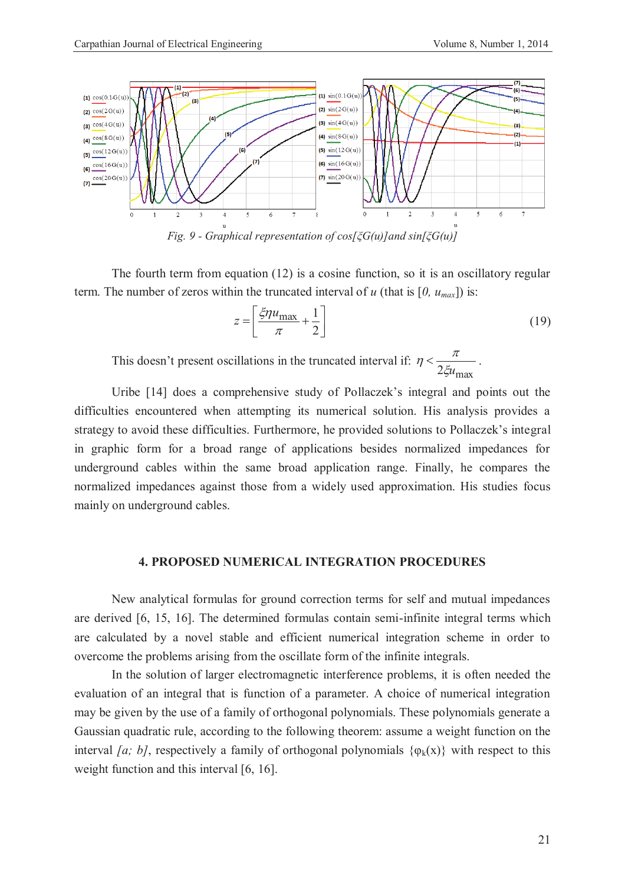![](_page_8_Figure_2.jpeg)

The fourth term from equation (12) is a cosine function, so it is an oscillatory regular term. The number of zeros within the truncated interval of *u* (that is  $[0, u_{max}]$ ) is:

$$
z = \left[\frac{\xi \eta u_{\text{max}}}{\pi} + \frac{1}{2}\right] \tag{19}
$$

This doesn't present oscillations in the truncated interval if: 2*ξu*<sub>max</sub>  $\eta < \frac{\pi}{2\pi}$ .

Uribe [14] does a comprehensive study of Pollaczek's integral and points out the difficulties encountered when attempting its numerical solution. His analysis provides a strategy to avoid these difficulties. Furthermore, he provided solutions to Pollaczek's integral in graphic form for a broad range of applications besides normalized impedances for underground cables within the same broad application range. Finally, he compares the normalized impedances against those from a widely used approximation. His studies focus mainly on underground cables.

### **4. PROPOSED NUMERICAL INTEGRATION PROCEDURES**

New analytical formulas for ground correction terms for self and mutual impedances are derived [6, 15, 16]. The determined formulas contain semi-infinite integral terms which are calculated by a novel stable and efficient numerical integration scheme in order to overcome the problems arising from the oscillate form of the infinite integrals.

In the solution of larger electromagnetic interference problems, it is often needed the evaluation of an integral that is function of a parameter. A choice of numerical integration may be given by the use of a family of orthogonal polynomials. These polynomials generate a Gaussian quadratic rule, according to the following theorem: assume a weight function on the interval *[a; b]*, respectively a family of orthogonal polynomials  $\{\varphi_k(x)\}\$  with respect to this weight function and this interval [6, 16].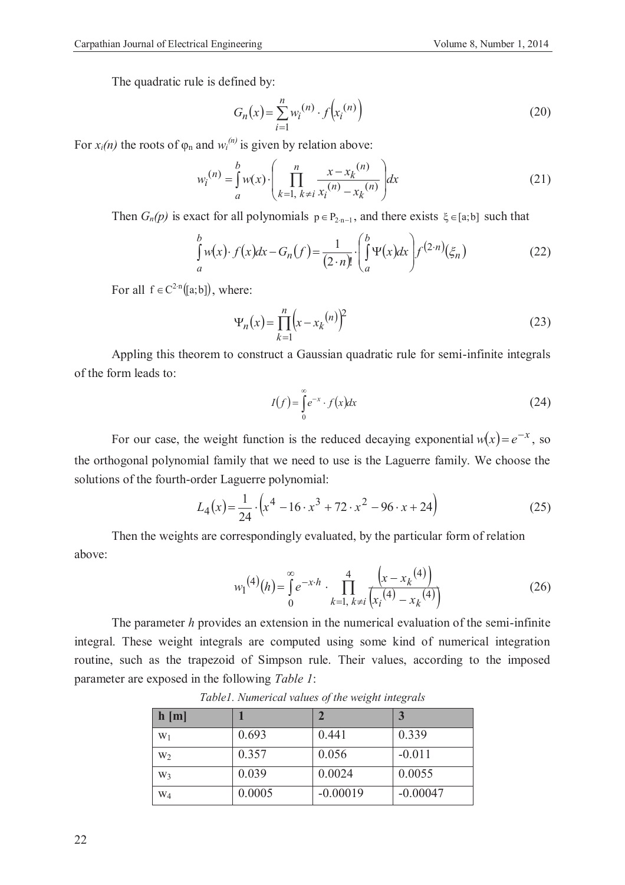The quadratic rule is defined by:

$$
G_n(x) = \sum_{i=1}^n w_i^{(n)} \cdot f(x_i^{(n)})
$$
\n(20)

For  $x_i(n)$  the roots of  $\varphi_n$  and  $w_i^{(n)}$  is given by relation above:

$$
w_i^{(n)} = \int_a^b w(x) \cdot \left( \prod_{k=1, \ k \neq i}^n \frac{x - x_k^{(n)}}{x_i^{(n)} - x_k^{(n)}} \right) dx
$$
 (21)

Then  $G_n(p)$  is exact for all polynomials  $p \in P_{2n-1}$ , and there exists  $\xi \in [a,b]$  such that

$$
\int_{a}^{b} w(x) \cdot f(x) dx - G_n(f) = \frac{1}{(2 \cdot n)!} \cdot \left( \int_{a}^{b} \Psi(x) dx \right) f^{(2 \cdot n)}(\xi_n)
$$
\n(22)

For all  $f \in C^{2 \cdot n}([a;b])$ , where:

$$
\Psi_n(x) = \prod_{k=1}^n (x - x_k^{(n)})^2
$$
\n(23)

Appling this theorem to construct a Gaussian quadratic rule for semi-infinite integrals of the form leads to:

$$
I(f) = \int_{0}^{\infty} e^{-x} \cdot f(x) dx
$$
 (24)

For our case, the weight function is the reduced decaying exponential  $w(x) = e^{-x}$ , so the orthogonal polynomial family that we need to use is the Laguerre family. We choose the solutions of the fourth-order Laguerre polynomial:

$$
L_4(x) = \frac{1}{24} \cdot \left( x^4 - 16 \cdot x^3 + 72 \cdot x^2 - 96 \cdot x + 24 \right)
$$
 (25)

Then the weights are correspondingly evaluated, by the particular form of relation above:

$$
w_1^{(4)}(h) = \int_0^\infty e^{-x \cdot h} \cdot \prod_{k=1, k \neq i}^4 \frac{\left(x - x_k^{(4)}\right)}{\left(x_i^{(4)} - x_k^{(4)}\right)}\tag{26}
$$

The parameter *h* provides an extension in the numerical evaluation of the semi-infinite integral. These weight integrals are computed using some kind of numerical integration routine, such as the trapezoid of Simpson rule. Their values, according to the imposed parameter are exposed in the following *Table 1*:

| h[m]           |        |            |            |
|----------------|--------|------------|------------|
| $W_1$          | 0.693  | 0.441      | 0.339      |
| W <sub>2</sub> | 0.357  | 0.056      | $-0.011$   |
| W3             | 0.039  | 0.0024     | 0.0055     |
| $W_4$          | 0.0005 | $-0.00019$ | $-0.00047$ |

*Table1. Numerical values of the weight integrals*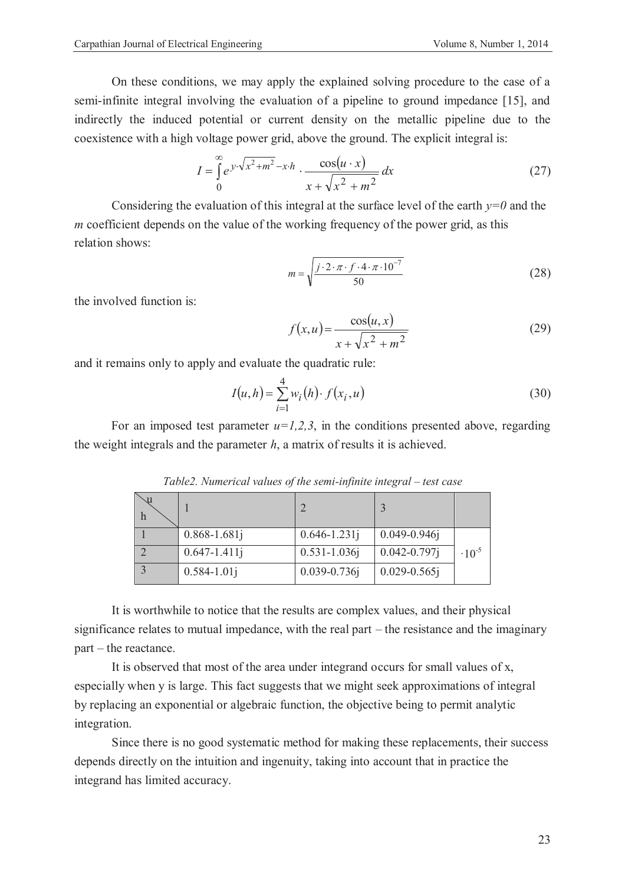semi-infinite integral involving the evaluation of a pipeline to ground impedance [15], and indirectly the induced potential or current density on the metallic pipeline due to the coexistence with a high voltage power grid, above the ground. The explicit integral is:

$$
I = \int_{0}^{\infty} e^{y \cdot \sqrt{x^2 + m^2} - x \cdot h} \cdot \frac{\cos(u \cdot x)}{x + \sqrt{x^2 + m^2}} dx
$$
 (27)

Considering the evaluation of this integral at the surface level of the earth  $y=0$  and the *m* coefficient depends on the value of the working frequency of the power grid, as this relation shows:

$$
m = \sqrt{\frac{j \cdot 2 \cdot \pi \cdot f \cdot 4 \cdot \pi \cdot 10^{-7}}{50}}
$$
 (28)

the involved function is:

$$
f(x, u) = \frac{\cos(u, x)}{x + \sqrt{x^2 + m^2}}
$$
 (29)

and it remains only to apply and evaluate the quadratic rule:

$$
I(u, h) = \sum_{i=1}^{4} w_i(h) \cdot f(x_i, u)
$$
\n(30)

For an imposed test parameter  $u=1,2,3$ , in the conditions presented above, regarding the weight integrals and the parameter *h*, a matrix of results it is achieved.

| $0.868 - 1.681j$ | $0.646 - 1.231j$  | $0.049 - 0.946$ j |            |
|------------------|-------------------|-------------------|------------|
| $0.647 - 1.411j$ | $0.531 - 1.036j$  | $0.042 - 0.797$ j | $-10^{-5}$ |
| $0.584 - 1.01j$  | $0.039 - 0.736$ j | $0.029 - 0.565$ j |            |

*Table2. Numerical values of the semi-infinite integral – test case* 

It is worthwhile to notice that the results are complex values, and their physical significance relates to mutual impedance, with the real part – the resistance and the imaginary part – the reactance.

It is observed that most of the area under integrand occurs for small values of x, especially when y is large. This fact suggests that we might seek approximations of integral by replacing an exponential or algebraic function, the objective being to permit analytic integration.

Since there is no good systematic method for making these replacements, their success depends directly on the intuition and ingenuity, taking into account that in practice the integrand has limited accuracy.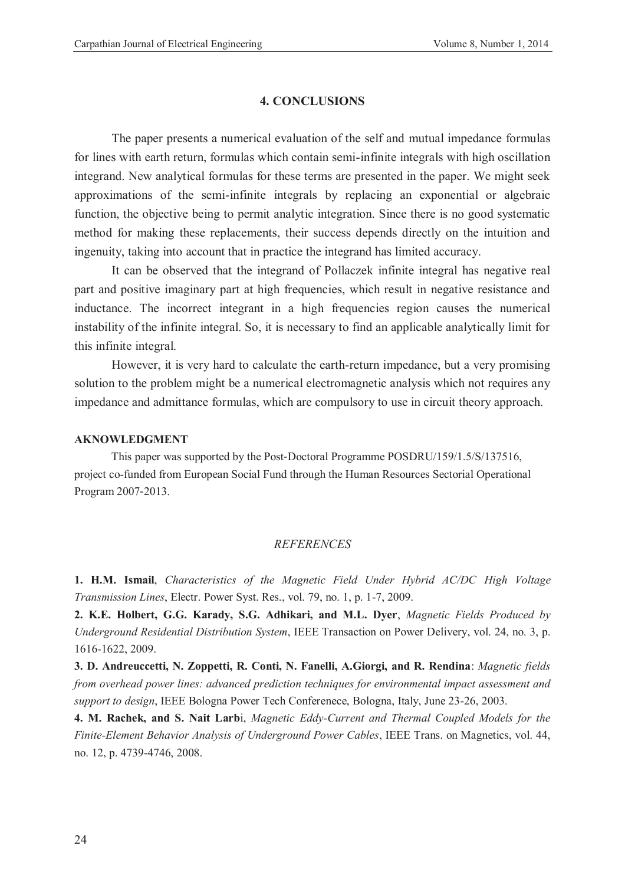### **4. CONCLUSIONS**

The paper presents a numerical evaluation of the self and mutual impedance formulas for lines with earth return, formulas which contain semi-infinite integrals with high oscillation integrand. New analytical formulas for these terms are presented in the paper. We might seek approximations of the semi-infinite integrals by replacing an exponential or algebraic function, the objective being to permit analytic integration. Since there is no good systematic method for making these replacements, their success depends directly on the intuition and ingenuity, taking into account that in practice the integrand has limited accuracy.

It can be observed that the integrand of Pollaczek infinite integral has negative real part and positive imaginary part at high frequencies, which result in negative resistance and inductance. The incorrect integrant in a high frequencies region causes the numerical instability of the infinite integral. So, it is necessary to find an applicable analytically limit for this infinite integral.

However, it is very hard to calculate the earth-return impedance, but a very promising solution to the problem might be a numerical electromagnetic analysis which not requires any impedance and admittance formulas, which are compulsory to use in circuit theory approach.

### **AKNOWLEDGMENT**

This paper was supported by the Post-Doctoral Programme POSDRU/159/1.5/S/137516, project co-funded from European Social Fund through the Human Resources Sectorial Operational Program 2007-2013.

### *REFERENCES*

**1. H.M. Ismail**, *Characteristics of the Magnetic Field Under Hybrid AC/DC High Voltage Transmission Lines*, Electr. Power Syst. Res., vol. 79, no. 1, p. 1-7, 2009.

**2. K.E. Holbert, G.G. Karady, S.G. Adhikari, and M.L. Dyer**, *Magnetic Fields Produced by Underground Residential Distribution System*, IEEE Transaction on Power Delivery, vol. 24, no. 3, p. 1616-1622, 2009.

**3. D. Andreuccetti, N. Zoppetti, R. Conti, N. Fanelli, A.Giorgi, and R. Rendina**: *Magnetic fields from overhead power lines: advanced prediction techniques for environmental impact assessment and support to design*, IEEE Bologna Power Tech Conferenece, Bologna, Italy, June 23-26, 2003.

**4. M. Rachek, and S. Nait Larb**i, *Magnetic Eddy-Current and Thermal Coupled Models for the Finite-Element Behavior Analysis of Underground Power Cables*, IEEE Trans. on Magnetics, vol. 44, no. 12, p. 4739-4746, 2008.